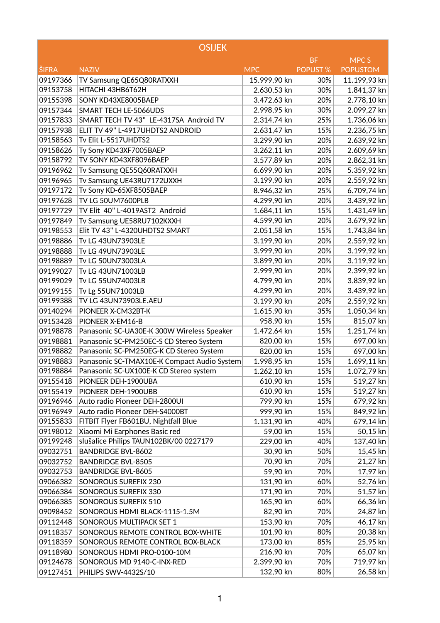|              | <b>OSIJEK</b>                               |              |                 |                  |
|--------------|---------------------------------------------|--------------|-----------------|------------------|
|              |                                             |              | <b>BF</b>       | MPC <sub>S</sub> |
| <b>ŠIFRA</b> | <b>NAZIV</b>                                | <b>MPC</b>   | <b>POPUST %</b> | <b>POPUSTOM</b>  |
| 09197366     | TV Samsung QE65Q80RATXXH                    | 15.999,90 kn | 30%             | 11.199,93 kn     |
| 09153758     | HITACHI 43HB6T62H                           | 2.630,53 kn  | 30%             | 1.841,37 kn      |
| 09155398     | SONY KD43XE8005BAEP                         | 3.472,63 kn  | 20%             | 2.778,10 kn      |
| 09157344     | SMART TECH LE-5066UDS                       | 2.998,95 kn  | 30%             | 2.099,27 kn      |
| 09157833     | SMART TECH TV 43" LE-4317SA Android TV      | 2.314,74 kn  | 25%             | 1.736,06 kn      |
| 09157938     | ELIT TV 49" L-4917UHDTS2 ANDROID            | 2.631,47 kn  | 15%             | 2.236,75 kn      |
| 09158563     | Tv Elit L-5517UHDTS2                        | 3.299,90 kn  | 20%             | 2.639,92 kn      |
| 09158626     | Ty Sony KD43XF7005BAEP                      | 3.262,11 kn  | 20%             | 2.609,69 kn      |
| 09158792     | TV SONY KD43XF8096BAEP                      | 3.577,89 kn  | 20%             | 2.862,31 kn      |
| 09196962     | Tv Samsung QE55Q60RATXXH                    | 6.699,90 kn  | 20%             | 5.359,92 kn      |
| 09196965     | Tv Samsung UE43RU7172UXXH                   | 3.199,90 kn  | 20%             | 2.559,92 kn      |
| 09197172     | Tv Sony KD-65XF8505BAEP                     | 8.946,32 kn  | 25%             | 6.709,74 kn      |
| 09197628     | TV LG 50UM7600PLB                           | 4.299,90 kn  | 20%             | 3.439,92 kn      |
| 09197729     | TV Elit 40" L-4019AST2 Android              | 1.684,11 kn  | 15%             | 1.431,49 kn      |
| 09197849     | Tv Samsung UE58RU7102KXXH                   | 4.599,90 kn  | 20%             | 3.679,92 kn      |
| 09198553     | Elit TV 43" L-4320UHDTS2 SMART              | 2.051,58 kn  | 15%             | 1.743,84 kn      |
| 09198886     | Tv LG 43UN73903LE                           | 3.199,90 kn  | 20%             | 2.559,92 kn      |
| 09198888     | Tv LG 49UN73903LE                           | 3.999,90 kn  | 20%             | 3.199,92 kn      |
| 09198889     | Tv LG 50UN73003LA                           | 3.899,90 kn  | 20%             | 3.119,92 kn      |
| 09199027     | Tv LG 43UN71003LB                           | 2.999,90 kn  | 20%             | 2.399,92 kn      |
| 09199029     | Tv LG 55UN74003LB                           | 4.799,90 kn  | 20%             | 3.839,92 kn      |
| 09199155     | Tv Lg 55UN71003LB                           | 4.299,90 kn  | 20%             | 3.439,92 kn      |
| 09199388     | TV LG 43UN73903LE.AEU                       | 3.199,90 kn  | 20%             | 2.559,92 kn      |
| 09140294     | PIONEER X-CM32BT-K                          | 1.615,90 kn  | 35%             | 1.050,34 kn      |
| 09153428     | PIONEER X-EM16-B                            | 958,90 kn    | 15%             | 815,07 kn        |
| 09198878     | Panasonic SC-UA30E-K 300W Wireless Speaker  | 1.472,64 kn  | 15%             | 1.251,74 kn      |
| 09198881     | Panasonic SC-PM250EC-S CD Stereo System     | 820,00 kn    | 15%             | 697,00 kn        |
| 09198882     | Panasonic SC-PM250EG-K CD Stereo System     | 820,00 kn    | 15%             | 697,00 kn        |
| 09198883     | Panasonic SC-TMAX10E-K Compact Audio System | 1.998,95 kn  | 15%             | 1.699,11 kn      |
| 09198884     | Panasonic SC-UX100E-K CD Stereo system      | 1.262,10 kn  | 15%             | 1.072,79 kn      |
| 09155418     | PIONEER DEH-1900UBA                         | 610,90 kn    | 15%             | 519,27 kn        |
| 09155419     | PIONEER DEH-1900UBB                         | 610,90 kn    | 15%             | 519,27 kn        |
| 09196946     | Auto radio Pioneer DEH-2800UI               | 799,90 kn    | 15%             | 679,92 kn        |
| 09196949     | Auto radio Pioneer DEH-S4000BT              | 999,90 kn    | 15%             | 849,92 kn        |
| 09155833     | FITBIT Flyer FB601BU, Nightfall Blue        | 1.131,90 kn  | 40%             | 679,14 kn        |
| 09198012     | Xiaomi Mi Earphones Basic red               | 59,00 kn     | 15%             | 50,15 kn         |
| 09199248     | slušalice Philips TAUN102BK/00 0227179      | 229,00 kn    | 40%             | 137,40 kn        |
| 09032751     | <b>BANDRIDGE BVL-8602</b>                   | 30,90 kn     | 50%             | 15,45 kn         |
| 09032752     | <b>BANDRIDGE BVL-8505</b>                   | 70,90 kn     | 70%             | 21,27 kn         |
| 09032753     | <b>BANDRIDGE BVL-8605</b>                   | 59,90 kn     | 70%             | 17,97 kn         |
| 09066382     | SONOROUS SUREFIX 230                        | 131,90 kn    | 60%             | 52,76 kn         |
| 09066384     | SONOROUS SUREFIX 330                        | 171,90 kn    | 70%             | 51,57 kn         |
| 09066385     | SONOROUS SUREFIX 510                        | 165,90 kn    | 60%             | 66,36 kn         |
| 09098452     | SONOROUS HDMI BLACK-1115-1.5M               | 82,90 kn     | 70%             | 24,87 kn         |
| 09112448     | SONOROUS MULTIPACK SET 1                    | 153,90 kn    | 70%             | 46,17 kn         |
| 09118357     | SONOROUS REMOTE CONTROL BOX-WHITE           | 101,90 kn    | 80%             | 20,38 kn         |
| 09118359     | SONOROUS REMOTE CONTROL BOX-BLACK           | 173,00 kn    | 85%             | 25,95 kn         |
| 09118980     | SONOROUS HDMI PRO-0100-10M                  | 216,90 kn    | 70%             | 65,07 kn         |
| 09124678     | SONOROUS MD 9140-C-INX-RED                  | 2.399,90 kn  | 70%             | 719,97 kn        |
| 09127451     | PHILIPS SWV-4432S/10                        | 132,90 kn    | 80%             | 26,58 kn         |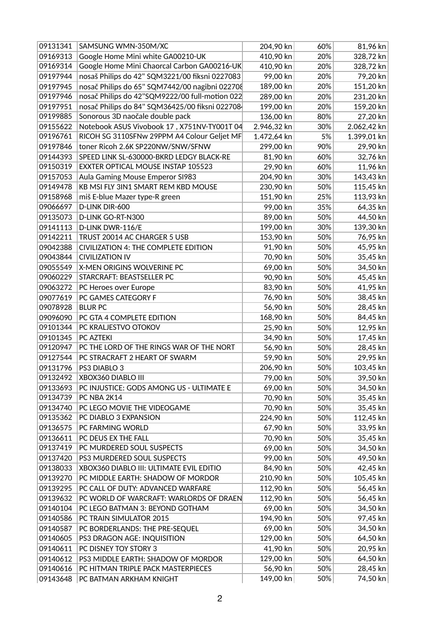| 09131341 | SAMSUNG WMN-350M/XC                            | 204,90 kn   | 60% | 81,96 kn             |
|----------|------------------------------------------------|-------------|-----|----------------------|
| 09169313 | Google Home Mini white GA00210-UK              | 410,90 kn   | 20% | 328,72 kn            |
| 09169314 | Google Home Mini Chaorcal Carbon GA00216-UK    | 410,90 kn   | 20% | 328,72 kn            |
| 09197944 | nosaš Philips do 42" SQM3221/00 fiksni 0227083 | 99,00 kn    | 20% | 79,20 kn             |
| 09197945 | nosač Philips do 65" SQM7442/00 nagibni 022708 | 189,00 kn   | 20% | 151,20 kn            |
| 09197946 | nosač Philips do 42"SQM9222/00 full-motion 022 | 289,00 kn   | 20% | 231,20 kn            |
| 09197951 | nosač Philips do 84" SQM36425/00 fiksni 022708 | 199,00 kn   | 20% | 159,20 kn            |
| 09199885 | Sonorous 3D naočale double pack                | 136,00 kn   | 80% | 27,20 kn             |
| 09155622 | Notebook ASUS Vivobook 17, X751NV-TY001T 04    | 2.946,32 kn | 30% | 2.062,42 kn          |
| 09196761 | RICOH SG 3110SFNw 29PPM A4 Colour Geljet MF    | 1.472,64 kn | 5%  | 1.399,01 kn          |
| 09197846 | toner Ricoh 2.6K SP220NW/SNW/SFNW              | 299,00 kn   | 90% | 29,90 kn             |
| 09144393 | SPEED LINK SL-630000-BKRD LEDGY BLACK-RE       | 81,90 kn    | 60% | 32,76 kn             |
| 09150319 | EXXTER OPTICAL MOUSE INSTAP 105523             | 29,90 kn    | 60% | 11,96 kn             |
| 09157053 | Aula Gaming Mouse Emperor SI983                | 204,90 kn   | 30% | 143,43 kn            |
| 09149478 | KB MSI FLY 3IN1 SMART REM KBD MOUSE            | 230,90 kn   | 50% | 115,45 kn            |
| 09158968 | miš E-blue Mazer type-R green                  | 151,90 kn   | 25% | 113,93 kn            |
| 09066697 | D-LINK DIR-600                                 | 99,00 kn    | 35% | 64,35 kn             |
| 09135073 | D-LINK GO-RT-N300                              | 89,00 kn    | 50% | 44,50 kn             |
| 09141113 | D-LINK DWR-116/E                               | 199,00 kn   | 30% | 139,30 kn            |
| 09142211 | TRUST 20014 AC CHARGER 5 USB                   | 153,90 kn   | 50% | 76,95 kn             |
| 09042388 | CIVILIZATION 4: THE COMPLETE EDITION           | 91,90 kn    | 50% | 45,95 kn             |
| 09043844 | <b>CIVILIZATION IV</b>                         | 70,90 kn    | 50% | 35,45 kn             |
| 09055549 | X-MEN ORIGINS WOLVERINE PC                     | 69,00 kn    | 50% | 34,50 kn             |
| 09060229 | STARCRAFT: BEASTSELLER PC                      | 90,90 kn    | 50% | 45,45 kn             |
| 09063272 | PC Heroes over Europe                          | 83,90 kn    | 50% | 41,95 kn             |
| 09077619 | PC GAMES CATEGORY F                            | 76,90 kn    | 50% | 38,45 kn             |
| 09078928 | <b>BLUR PC</b>                                 | 56,90 kn    | 50% | 28,45 kn             |
| 09096090 | PC GTA 4 COMPLETE EDITION                      | 168,90 kn   | 50% | 84,45 kn             |
| 09101344 | PC KRALJESTVO OTOKOV                           | 25,90 kn    | 50% | 12,95 kn             |
| 09101345 | PC AZTEKI                                      | 34,90 kn    | 50% | 17,45 kn             |
| 09120947 | PC THE LORD OF THE RINGS WAR OF THE NORT       | 56,90 kn    | 50% | 28,45 kn             |
| 09127544 | PC STRACRAFT 2 HEART OF SWARM                  | 59,90 kn    | 50% | 29,95 kn             |
| 09131796 | PS3 DIABLO 3                                   | 206,90 kn   | 50% | 103,45 kn            |
| 09132492 | XBOX360 DIABLO III                             | 79,00 kn    | 50% | 39,50 kn             |
| 09133693 | PC INJUSTICE: GODS AMONG US - ULTIMATE E       | 69,00 kn    | 50% | 34,50 kn             |
| 09134739 | PC NBA 2K14                                    | 70,90 kn    | 50% | 35,45 kn             |
| 09134740 | PC LEGO MOVIE THE VIDEOGAME                    | 70,90 kn    | 50% | 35,45 kn             |
| 09135362 | PC DIABLO 3 EXPANSION                          | 224,90 kn   | 50% | 112,45 kn            |
| 09136575 | PC FARMING WORLD                               | 67,90 kn    | 50% | 33,95 kn             |
| 09136611 | PC DEUS EX THE FALL                            | 70,90 kn    | 50% | 35,45 kn             |
| 09137419 | PC MURDERED SOUL SUSPECTS                      | 69,00 kn    | 50% | 34,50 kn             |
| 09137420 | PS3 MURDERED SOUL SUSPECTS                     | 99,00 kn    | 50% | 49,50 kn             |
| 09138033 | XBOX360 DIABLO III: ULTIMATE EVIL EDITIO       | 84,90 kn    | 50% | 42,45 kn             |
| 09139270 | PC MIDDLE EARTH: SHADOW OF MORDOR              | 210,90 kn   | 50% | 105,45 kn            |
| 09139295 | PC CALL OF DUTY: ADVANCED WARFARE              | 112,90 kn   | 50% | 56,45 kn             |
| 09139632 | PC WORLD OF WARCRAFT: WARLORDS OF DRAEN        | 112,90 kn   | 50% | 56,45 kn             |
| 09140104 | PC LEGO BATMAN 3: BEYOND GOTHAM                | 69,00 kn    | 50% | 34,50 kn             |
| 09140586 | PC TRAIN SIMULATOR 2015                        | 194,90 kn   | 50% | 97,45 kn             |
| 09140587 | PC BORDERLANDS: THE PRE-SEQUEL                 | 69,00 kn    | 50% | 34,50 kn             |
| 09140605 | PS3 DRAGON AGE: INQUISITION                    | 129,00 kn   | 50% | 64,50 kn             |
| 09140611 | PC DISNEY TOY STORY 3                          | 41,90 kn    | 50% | 20,95 kn             |
| 09140612 | PS3 MIDDLE EARTH: SHADOW OF MORDOR             | 129,00 kn   | 50% | 64,50 kn<br>28,45 kn |
| 09140616 | PC HITMAN TRIPLE PACK MASTERPIECES             | 56,90 kn    | 50% |                      |
| 09143648 | PC BATMAN ARKHAM KNIGHT                        | 149,00 kn   | 50% | 74,50 kn             |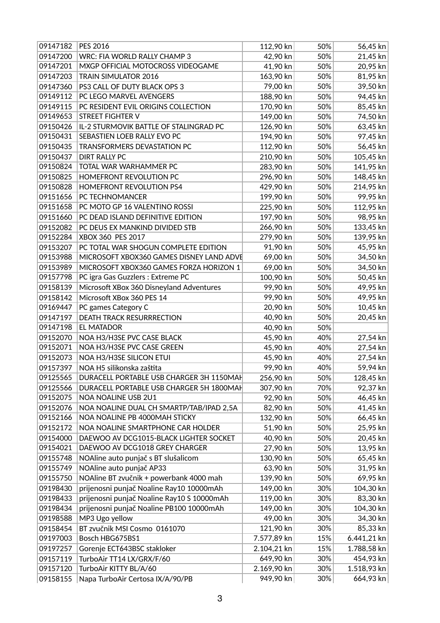| 09147200<br>WRC: FIA WORLD RALLY CHAMP 3<br>42,90 kn<br>50%<br>21,45 kn<br>09147201<br>MXGP OFFICIAL MOTOCROSS VIDEOGAME<br>41,90 kn<br>50%<br>20,95 kn<br>09147203<br>TRAIN SIMULATOR 2016<br>163,90 kn<br>81,95 kn<br>50%<br>79,00 kn<br>50%<br>39,50 kn<br>09147360<br>PS3 CALL OF DUTY BLACK OPS 3<br>09149112<br>PC LEGO MARVEL AVENGERS<br>188,90 kn<br>50%<br>94,45 kn<br>50%<br>170,90 kn<br>85,45 kn<br>09149115<br>PC RESIDENT EVIL ORIGINS COLLECTION<br>09149653<br><b>STREET FIGHTER V</b><br>149,00 kn<br>50%<br>74,50 kn<br>IL-2 STURMOVIK BATTLE OF STALINGRAD PC<br>50%<br>09150426<br>126,90 kn<br>63,45 kn<br>SEBASTIEN LOEB RALLY EVO PC<br>09150431<br>97,45 kn<br>194,90 kn<br>50%<br>09150435<br>TRANSFORMERS DEVASTATION PC<br>112,90 kn<br>50%<br>56,45 kn<br>210,90 kn<br>50%<br>105,45 kn<br>09150437<br><b>DIRT RALLY PC</b><br>09150824<br>TOTAL WAR WARHAMMER PC<br>283,90 kn<br>50%<br>141,95 kn<br>148,45 kn<br>09150825<br>HOMEFRONT REVOLUTION PC<br>296,90 kn<br>50%<br>09150828<br>HOMEFRONT REVOLUTION PS4<br>429,90 kn<br>50%<br>214,95 kn<br>09151656<br>50%<br>99,95 kn<br>PC TECHNOMANCER<br>199,90 kn<br>PC MOTO GP 16 VALENTINO ROSSI<br>09151658<br>225,90 kn<br>50%<br>112,95 kn<br>09151660<br>PC DEAD ISLAND DEFINITIVE EDITION<br>197,90 kn<br>50%<br>98,95 kn<br>50%<br>133,45 kn<br>266,90 kn<br>09152082<br>PC DEUS EX MANKIND DIVIDED STB<br>09152284<br>XBOX 360 PES 2017<br>50%<br>139,95 kn<br>279,90 kn<br>91,90 kn<br>50%<br>45,95 kn<br>09153207<br>PC TOTAL WAR SHOGUN COMPLETE EDITION<br>09153988<br>MICROSOFT XBOX360 GAMES DISNEY LAND ADVE<br>69,00 kn<br>50%<br>34,50 kn<br>50%<br>69,00 kn<br>34,50 kn<br>09153989<br>MICROSOFT XBOX360 GAMES FORZA HORIZON 1<br>09157798<br>PC igra Gas Guzzlers : Extreme PC<br>50%<br>100,90 kn<br>50,45 kn<br>Microsoft XBox 360 Disneyland Adventures<br>99,90 kn<br>50%<br>49,95 kn<br>09158139<br>50%<br>Microsoft XBox 360 PES 14<br>99,90 kn<br>49,95 kn<br>09158142<br>50%<br>10,45 kn<br>09169447<br>PC games Category C<br>20,90 kn<br>40,90 kn<br>50%<br>20,45 kn<br>09147197<br><b>DEATH TRACK RESURRRECTION</b><br>09147198<br><b>EL MATADOR</b><br>40,90 kn<br>50%<br>09152070<br>NOA H3/H3SE PVC CASE BLACK<br>45,90 kn<br>40%<br>27,54 kn<br>09152071<br>NOA H3/H3SE PVC CASE GREEN<br>40%<br>45,90 kn<br>27,54 kn<br>09152073<br>NOA H3/H3SE SILICON ETUI<br>45,90 kn<br>40%<br>27,54 kn<br>59,94 kn<br>99,90 kn<br>40%<br>NOA H5 silikonska zaštita<br>09157397<br>09125565<br>DURACELL PORTABLE USB CHARGER 3H 1150MAH<br>50%<br>128,45 kn<br>256,90 kn<br>92,37 kn<br>09125566<br>DURACELL PORTABLE USB CHARGER 5H 1800MAH<br>307,90 kn<br>70%<br>09152075<br>NOA NOALINE USB 2U1<br>50%<br>46,45 kn<br>92,90 kn<br>41,45 kn<br>09152076<br>NOA NOALINE DUAL CH SMARTP/TAB/IPAD 2,5A<br>82,90 kn<br>50%<br>09152166<br>NOA NOALINE PB 4000MAH STICKY<br>50%<br>66,45 kn<br>132,90 kn<br>09152172<br>NOA NOALINE SMARTPHONE CAR HOLDER<br>50%<br>25,95 kn<br>51,90 kn<br>40,90 kn<br>50%<br>20,45 kn<br>09154000<br>DAEWOO AV DCG1015-BLACK LIGHTER SOCKET<br>09154021<br>DAEWOO AV DCG1018 GREY CHARGER<br>27,90 kn<br>50%<br>13,95 kn<br>130,90 kn<br>50%<br>65,45 kn<br>09155748<br>NOAline auto punjač s BT slušalicom<br>09155749<br>NOAline auto punjač AP33<br>63,90 kn<br>50%<br>31,95 kn<br>NOAline BT zvučnik + powerbank 4000 mah<br>69,95 kn<br>09155750<br>139,90 kn<br>50%<br>prijenosni punjač Noaline Ray10 10000mAh<br>149,00 kn<br>30%<br>104,30 kn<br>09198430<br>prijenosni punjač Noaline Ray10 S 10000mAh<br>09198433<br>119,00 kn<br>30%<br>83,30 kn<br>prijenosni punjač Noaline PB100 10000mAh<br>149,00 kn<br>30%<br>104,30 kn<br>09198434<br>09198588<br>MP3 Ugo yellow<br>49,00 kn<br>30%<br>34,30 kn<br>09158454<br>BT zvučnik MSI Cosmo 0161070<br>121,90 kn<br>30%<br>85,33 kn<br>Bosch HBG675BS1<br>7.577,89 kn<br>09197003<br>15%<br>6.441,21 kn<br>Gorenje ECT643BSC stakloker<br>09197257<br>2.104,21 kn<br>15%<br>1.788,58 kn<br>649,90 kn<br>30%<br>454,93 kn<br>TurboAir TT14 LX/GRX/F/60<br>09157119<br>09157120<br>TurboAir KITTY BL/A/60<br>2.169,90 kn<br>30%<br>1.518,93 kn | 09147182 | PES 2016                         | 112,90 kn | 50% | 56,45 kn  |
|-----------------------------------------------------------------------------------------------------------------------------------------------------------------------------------------------------------------------------------------------------------------------------------------------------------------------------------------------------------------------------------------------------------------------------------------------------------------------------------------------------------------------------------------------------------------------------------------------------------------------------------------------------------------------------------------------------------------------------------------------------------------------------------------------------------------------------------------------------------------------------------------------------------------------------------------------------------------------------------------------------------------------------------------------------------------------------------------------------------------------------------------------------------------------------------------------------------------------------------------------------------------------------------------------------------------------------------------------------------------------------------------------------------------------------------------------------------------------------------------------------------------------------------------------------------------------------------------------------------------------------------------------------------------------------------------------------------------------------------------------------------------------------------------------------------------------------------------------------------------------------------------------------------------------------------------------------------------------------------------------------------------------------------------------------------------------------------------------------------------------------------------------------------------------------------------------------------------------------------------------------------------------------------------------------------------------------------------------------------------------------------------------------------------------------------------------------------------------------------------------------------------------------------------------------------------------------------------------------------------------------------------------------------------------------------------------------------------------------------------------------------------------------------------------------------------------------------------------------------------------------------------------------------------------------------------------------------------------------------------------------------------------------------------------------------------------------------------------------------------------------------------------------------------------------------------------------------------------------------------------------------------------------------------------------------------------------------------------------------------------------------------------------------------------------------------------------------------------------------------------------------------------------------------------------------------------------------------------------------------------------------------------------------------------------------------------------------------------------------------------------------------------------------------------------------------------------------------------------------------------------------------------------------------------------------------------------------------------------------------------------------------------------------------------------------------------------------------------------------------------------------------------|----------|----------------------------------|-----------|-----|-----------|
|                                                                                                                                                                                                                                                                                                                                                                                                                                                                                                                                                                                                                                                                                                                                                                                                                                                                                                                                                                                                                                                                                                                                                                                                                                                                                                                                                                                                                                                                                                                                                                                                                                                                                                                                                                                                                                                                                                                                                                                                                                                                                                                                                                                                                                                                                                                                                                                                                                                                                                                                                                                                                                                                                                                                                                                                                                                                                                                                                                                                                                                                                                                                                                                                                                                                                                                                                                                                                                                                                                                                                                                                                                                                                                                                                                                                                                                                                                                                                                                                                                                                                                                                               |          |                                  |           |     |           |
|                                                                                                                                                                                                                                                                                                                                                                                                                                                                                                                                                                                                                                                                                                                                                                                                                                                                                                                                                                                                                                                                                                                                                                                                                                                                                                                                                                                                                                                                                                                                                                                                                                                                                                                                                                                                                                                                                                                                                                                                                                                                                                                                                                                                                                                                                                                                                                                                                                                                                                                                                                                                                                                                                                                                                                                                                                                                                                                                                                                                                                                                                                                                                                                                                                                                                                                                                                                                                                                                                                                                                                                                                                                                                                                                                                                                                                                                                                                                                                                                                                                                                                                                               |          |                                  |           |     |           |
|                                                                                                                                                                                                                                                                                                                                                                                                                                                                                                                                                                                                                                                                                                                                                                                                                                                                                                                                                                                                                                                                                                                                                                                                                                                                                                                                                                                                                                                                                                                                                                                                                                                                                                                                                                                                                                                                                                                                                                                                                                                                                                                                                                                                                                                                                                                                                                                                                                                                                                                                                                                                                                                                                                                                                                                                                                                                                                                                                                                                                                                                                                                                                                                                                                                                                                                                                                                                                                                                                                                                                                                                                                                                                                                                                                                                                                                                                                                                                                                                                                                                                                                                               |          |                                  |           |     |           |
|                                                                                                                                                                                                                                                                                                                                                                                                                                                                                                                                                                                                                                                                                                                                                                                                                                                                                                                                                                                                                                                                                                                                                                                                                                                                                                                                                                                                                                                                                                                                                                                                                                                                                                                                                                                                                                                                                                                                                                                                                                                                                                                                                                                                                                                                                                                                                                                                                                                                                                                                                                                                                                                                                                                                                                                                                                                                                                                                                                                                                                                                                                                                                                                                                                                                                                                                                                                                                                                                                                                                                                                                                                                                                                                                                                                                                                                                                                                                                                                                                                                                                                                                               |          |                                  |           |     |           |
|                                                                                                                                                                                                                                                                                                                                                                                                                                                                                                                                                                                                                                                                                                                                                                                                                                                                                                                                                                                                                                                                                                                                                                                                                                                                                                                                                                                                                                                                                                                                                                                                                                                                                                                                                                                                                                                                                                                                                                                                                                                                                                                                                                                                                                                                                                                                                                                                                                                                                                                                                                                                                                                                                                                                                                                                                                                                                                                                                                                                                                                                                                                                                                                                                                                                                                                                                                                                                                                                                                                                                                                                                                                                                                                                                                                                                                                                                                                                                                                                                                                                                                                                               |          |                                  |           |     |           |
|                                                                                                                                                                                                                                                                                                                                                                                                                                                                                                                                                                                                                                                                                                                                                                                                                                                                                                                                                                                                                                                                                                                                                                                                                                                                                                                                                                                                                                                                                                                                                                                                                                                                                                                                                                                                                                                                                                                                                                                                                                                                                                                                                                                                                                                                                                                                                                                                                                                                                                                                                                                                                                                                                                                                                                                                                                                                                                                                                                                                                                                                                                                                                                                                                                                                                                                                                                                                                                                                                                                                                                                                                                                                                                                                                                                                                                                                                                                                                                                                                                                                                                                                               |          |                                  |           |     |           |
|                                                                                                                                                                                                                                                                                                                                                                                                                                                                                                                                                                                                                                                                                                                                                                                                                                                                                                                                                                                                                                                                                                                                                                                                                                                                                                                                                                                                                                                                                                                                                                                                                                                                                                                                                                                                                                                                                                                                                                                                                                                                                                                                                                                                                                                                                                                                                                                                                                                                                                                                                                                                                                                                                                                                                                                                                                                                                                                                                                                                                                                                                                                                                                                                                                                                                                                                                                                                                                                                                                                                                                                                                                                                                                                                                                                                                                                                                                                                                                                                                                                                                                                                               |          |                                  |           |     |           |
|                                                                                                                                                                                                                                                                                                                                                                                                                                                                                                                                                                                                                                                                                                                                                                                                                                                                                                                                                                                                                                                                                                                                                                                                                                                                                                                                                                                                                                                                                                                                                                                                                                                                                                                                                                                                                                                                                                                                                                                                                                                                                                                                                                                                                                                                                                                                                                                                                                                                                                                                                                                                                                                                                                                                                                                                                                                                                                                                                                                                                                                                                                                                                                                                                                                                                                                                                                                                                                                                                                                                                                                                                                                                                                                                                                                                                                                                                                                                                                                                                                                                                                                                               |          |                                  |           |     |           |
|                                                                                                                                                                                                                                                                                                                                                                                                                                                                                                                                                                                                                                                                                                                                                                                                                                                                                                                                                                                                                                                                                                                                                                                                                                                                                                                                                                                                                                                                                                                                                                                                                                                                                                                                                                                                                                                                                                                                                                                                                                                                                                                                                                                                                                                                                                                                                                                                                                                                                                                                                                                                                                                                                                                                                                                                                                                                                                                                                                                                                                                                                                                                                                                                                                                                                                                                                                                                                                                                                                                                                                                                                                                                                                                                                                                                                                                                                                                                                                                                                                                                                                                                               |          |                                  |           |     |           |
|                                                                                                                                                                                                                                                                                                                                                                                                                                                                                                                                                                                                                                                                                                                                                                                                                                                                                                                                                                                                                                                                                                                                                                                                                                                                                                                                                                                                                                                                                                                                                                                                                                                                                                                                                                                                                                                                                                                                                                                                                                                                                                                                                                                                                                                                                                                                                                                                                                                                                                                                                                                                                                                                                                                                                                                                                                                                                                                                                                                                                                                                                                                                                                                                                                                                                                                                                                                                                                                                                                                                                                                                                                                                                                                                                                                                                                                                                                                                                                                                                                                                                                                                               |          |                                  |           |     |           |
|                                                                                                                                                                                                                                                                                                                                                                                                                                                                                                                                                                                                                                                                                                                                                                                                                                                                                                                                                                                                                                                                                                                                                                                                                                                                                                                                                                                                                                                                                                                                                                                                                                                                                                                                                                                                                                                                                                                                                                                                                                                                                                                                                                                                                                                                                                                                                                                                                                                                                                                                                                                                                                                                                                                                                                                                                                                                                                                                                                                                                                                                                                                                                                                                                                                                                                                                                                                                                                                                                                                                                                                                                                                                                                                                                                                                                                                                                                                                                                                                                                                                                                                                               |          |                                  |           |     |           |
|                                                                                                                                                                                                                                                                                                                                                                                                                                                                                                                                                                                                                                                                                                                                                                                                                                                                                                                                                                                                                                                                                                                                                                                                                                                                                                                                                                                                                                                                                                                                                                                                                                                                                                                                                                                                                                                                                                                                                                                                                                                                                                                                                                                                                                                                                                                                                                                                                                                                                                                                                                                                                                                                                                                                                                                                                                                                                                                                                                                                                                                                                                                                                                                                                                                                                                                                                                                                                                                                                                                                                                                                                                                                                                                                                                                                                                                                                                                                                                                                                                                                                                                                               |          |                                  |           |     |           |
|                                                                                                                                                                                                                                                                                                                                                                                                                                                                                                                                                                                                                                                                                                                                                                                                                                                                                                                                                                                                                                                                                                                                                                                                                                                                                                                                                                                                                                                                                                                                                                                                                                                                                                                                                                                                                                                                                                                                                                                                                                                                                                                                                                                                                                                                                                                                                                                                                                                                                                                                                                                                                                                                                                                                                                                                                                                                                                                                                                                                                                                                                                                                                                                                                                                                                                                                                                                                                                                                                                                                                                                                                                                                                                                                                                                                                                                                                                                                                                                                                                                                                                                                               |          |                                  |           |     |           |
|                                                                                                                                                                                                                                                                                                                                                                                                                                                                                                                                                                                                                                                                                                                                                                                                                                                                                                                                                                                                                                                                                                                                                                                                                                                                                                                                                                                                                                                                                                                                                                                                                                                                                                                                                                                                                                                                                                                                                                                                                                                                                                                                                                                                                                                                                                                                                                                                                                                                                                                                                                                                                                                                                                                                                                                                                                                                                                                                                                                                                                                                                                                                                                                                                                                                                                                                                                                                                                                                                                                                                                                                                                                                                                                                                                                                                                                                                                                                                                                                                                                                                                                                               |          |                                  |           |     |           |
|                                                                                                                                                                                                                                                                                                                                                                                                                                                                                                                                                                                                                                                                                                                                                                                                                                                                                                                                                                                                                                                                                                                                                                                                                                                                                                                                                                                                                                                                                                                                                                                                                                                                                                                                                                                                                                                                                                                                                                                                                                                                                                                                                                                                                                                                                                                                                                                                                                                                                                                                                                                                                                                                                                                                                                                                                                                                                                                                                                                                                                                                                                                                                                                                                                                                                                                                                                                                                                                                                                                                                                                                                                                                                                                                                                                                                                                                                                                                                                                                                                                                                                                                               |          |                                  |           |     |           |
|                                                                                                                                                                                                                                                                                                                                                                                                                                                                                                                                                                                                                                                                                                                                                                                                                                                                                                                                                                                                                                                                                                                                                                                                                                                                                                                                                                                                                                                                                                                                                                                                                                                                                                                                                                                                                                                                                                                                                                                                                                                                                                                                                                                                                                                                                                                                                                                                                                                                                                                                                                                                                                                                                                                                                                                                                                                                                                                                                                                                                                                                                                                                                                                                                                                                                                                                                                                                                                                                                                                                                                                                                                                                                                                                                                                                                                                                                                                                                                                                                                                                                                                                               |          |                                  |           |     |           |
|                                                                                                                                                                                                                                                                                                                                                                                                                                                                                                                                                                                                                                                                                                                                                                                                                                                                                                                                                                                                                                                                                                                                                                                                                                                                                                                                                                                                                                                                                                                                                                                                                                                                                                                                                                                                                                                                                                                                                                                                                                                                                                                                                                                                                                                                                                                                                                                                                                                                                                                                                                                                                                                                                                                                                                                                                                                                                                                                                                                                                                                                                                                                                                                                                                                                                                                                                                                                                                                                                                                                                                                                                                                                                                                                                                                                                                                                                                                                                                                                                                                                                                                                               |          |                                  |           |     |           |
|                                                                                                                                                                                                                                                                                                                                                                                                                                                                                                                                                                                                                                                                                                                                                                                                                                                                                                                                                                                                                                                                                                                                                                                                                                                                                                                                                                                                                                                                                                                                                                                                                                                                                                                                                                                                                                                                                                                                                                                                                                                                                                                                                                                                                                                                                                                                                                                                                                                                                                                                                                                                                                                                                                                                                                                                                                                                                                                                                                                                                                                                                                                                                                                                                                                                                                                                                                                                                                                                                                                                                                                                                                                                                                                                                                                                                                                                                                                                                                                                                                                                                                                                               |          |                                  |           |     |           |
|                                                                                                                                                                                                                                                                                                                                                                                                                                                                                                                                                                                                                                                                                                                                                                                                                                                                                                                                                                                                                                                                                                                                                                                                                                                                                                                                                                                                                                                                                                                                                                                                                                                                                                                                                                                                                                                                                                                                                                                                                                                                                                                                                                                                                                                                                                                                                                                                                                                                                                                                                                                                                                                                                                                                                                                                                                                                                                                                                                                                                                                                                                                                                                                                                                                                                                                                                                                                                                                                                                                                                                                                                                                                                                                                                                                                                                                                                                                                                                                                                                                                                                                                               |          |                                  |           |     |           |
|                                                                                                                                                                                                                                                                                                                                                                                                                                                                                                                                                                                                                                                                                                                                                                                                                                                                                                                                                                                                                                                                                                                                                                                                                                                                                                                                                                                                                                                                                                                                                                                                                                                                                                                                                                                                                                                                                                                                                                                                                                                                                                                                                                                                                                                                                                                                                                                                                                                                                                                                                                                                                                                                                                                                                                                                                                                                                                                                                                                                                                                                                                                                                                                                                                                                                                                                                                                                                                                                                                                                                                                                                                                                                                                                                                                                                                                                                                                                                                                                                                                                                                                                               |          |                                  |           |     |           |
|                                                                                                                                                                                                                                                                                                                                                                                                                                                                                                                                                                                                                                                                                                                                                                                                                                                                                                                                                                                                                                                                                                                                                                                                                                                                                                                                                                                                                                                                                                                                                                                                                                                                                                                                                                                                                                                                                                                                                                                                                                                                                                                                                                                                                                                                                                                                                                                                                                                                                                                                                                                                                                                                                                                                                                                                                                                                                                                                                                                                                                                                                                                                                                                                                                                                                                                                                                                                                                                                                                                                                                                                                                                                                                                                                                                                                                                                                                                                                                                                                                                                                                                                               |          |                                  |           |     |           |
|                                                                                                                                                                                                                                                                                                                                                                                                                                                                                                                                                                                                                                                                                                                                                                                                                                                                                                                                                                                                                                                                                                                                                                                                                                                                                                                                                                                                                                                                                                                                                                                                                                                                                                                                                                                                                                                                                                                                                                                                                                                                                                                                                                                                                                                                                                                                                                                                                                                                                                                                                                                                                                                                                                                                                                                                                                                                                                                                                                                                                                                                                                                                                                                                                                                                                                                                                                                                                                                                                                                                                                                                                                                                                                                                                                                                                                                                                                                                                                                                                                                                                                                                               |          |                                  |           |     |           |
|                                                                                                                                                                                                                                                                                                                                                                                                                                                                                                                                                                                                                                                                                                                                                                                                                                                                                                                                                                                                                                                                                                                                                                                                                                                                                                                                                                                                                                                                                                                                                                                                                                                                                                                                                                                                                                                                                                                                                                                                                                                                                                                                                                                                                                                                                                                                                                                                                                                                                                                                                                                                                                                                                                                                                                                                                                                                                                                                                                                                                                                                                                                                                                                                                                                                                                                                                                                                                                                                                                                                                                                                                                                                                                                                                                                                                                                                                                                                                                                                                                                                                                                                               |          |                                  |           |     |           |
|                                                                                                                                                                                                                                                                                                                                                                                                                                                                                                                                                                                                                                                                                                                                                                                                                                                                                                                                                                                                                                                                                                                                                                                                                                                                                                                                                                                                                                                                                                                                                                                                                                                                                                                                                                                                                                                                                                                                                                                                                                                                                                                                                                                                                                                                                                                                                                                                                                                                                                                                                                                                                                                                                                                                                                                                                                                                                                                                                                                                                                                                                                                                                                                                                                                                                                                                                                                                                                                                                                                                                                                                                                                                                                                                                                                                                                                                                                                                                                                                                                                                                                                                               |          |                                  |           |     |           |
|                                                                                                                                                                                                                                                                                                                                                                                                                                                                                                                                                                                                                                                                                                                                                                                                                                                                                                                                                                                                                                                                                                                                                                                                                                                                                                                                                                                                                                                                                                                                                                                                                                                                                                                                                                                                                                                                                                                                                                                                                                                                                                                                                                                                                                                                                                                                                                                                                                                                                                                                                                                                                                                                                                                                                                                                                                                                                                                                                                                                                                                                                                                                                                                                                                                                                                                                                                                                                                                                                                                                                                                                                                                                                                                                                                                                                                                                                                                                                                                                                                                                                                                                               |          |                                  |           |     |           |
|                                                                                                                                                                                                                                                                                                                                                                                                                                                                                                                                                                                                                                                                                                                                                                                                                                                                                                                                                                                                                                                                                                                                                                                                                                                                                                                                                                                                                                                                                                                                                                                                                                                                                                                                                                                                                                                                                                                                                                                                                                                                                                                                                                                                                                                                                                                                                                                                                                                                                                                                                                                                                                                                                                                                                                                                                                                                                                                                                                                                                                                                                                                                                                                                                                                                                                                                                                                                                                                                                                                                                                                                                                                                                                                                                                                                                                                                                                                                                                                                                                                                                                                                               |          |                                  |           |     |           |
|                                                                                                                                                                                                                                                                                                                                                                                                                                                                                                                                                                                                                                                                                                                                                                                                                                                                                                                                                                                                                                                                                                                                                                                                                                                                                                                                                                                                                                                                                                                                                                                                                                                                                                                                                                                                                                                                                                                                                                                                                                                                                                                                                                                                                                                                                                                                                                                                                                                                                                                                                                                                                                                                                                                                                                                                                                                                                                                                                                                                                                                                                                                                                                                                                                                                                                                                                                                                                                                                                                                                                                                                                                                                                                                                                                                                                                                                                                                                                                                                                                                                                                                                               |          |                                  |           |     |           |
|                                                                                                                                                                                                                                                                                                                                                                                                                                                                                                                                                                                                                                                                                                                                                                                                                                                                                                                                                                                                                                                                                                                                                                                                                                                                                                                                                                                                                                                                                                                                                                                                                                                                                                                                                                                                                                                                                                                                                                                                                                                                                                                                                                                                                                                                                                                                                                                                                                                                                                                                                                                                                                                                                                                                                                                                                                                                                                                                                                                                                                                                                                                                                                                                                                                                                                                                                                                                                                                                                                                                                                                                                                                                                                                                                                                                                                                                                                                                                                                                                                                                                                                                               |          |                                  |           |     |           |
|                                                                                                                                                                                                                                                                                                                                                                                                                                                                                                                                                                                                                                                                                                                                                                                                                                                                                                                                                                                                                                                                                                                                                                                                                                                                                                                                                                                                                                                                                                                                                                                                                                                                                                                                                                                                                                                                                                                                                                                                                                                                                                                                                                                                                                                                                                                                                                                                                                                                                                                                                                                                                                                                                                                                                                                                                                                                                                                                                                                                                                                                                                                                                                                                                                                                                                                                                                                                                                                                                                                                                                                                                                                                                                                                                                                                                                                                                                                                                                                                                                                                                                                                               |          |                                  |           |     |           |
|                                                                                                                                                                                                                                                                                                                                                                                                                                                                                                                                                                                                                                                                                                                                                                                                                                                                                                                                                                                                                                                                                                                                                                                                                                                                                                                                                                                                                                                                                                                                                                                                                                                                                                                                                                                                                                                                                                                                                                                                                                                                                                                                                                                                                                                                                                                                                                                                                                                                                                                                                                                                                                                                                                                                                                                                                                                                                                                                                                                                                                                                                                                                                                                                                                                                                                                                                                                                                                                                                                                                                                                                                                                                                                                                                                                                                                                                                                                                                                                                                                                                                                                                               |          |                                  |           |     |           |
|                                                                                                                                                                                                                                                                                                                                                                                                                                                                                                                                                                                                                                                                                                                                                                                                                                                                                                                                                                                                                                                                                                                                                                                                                                                                                                                                                                                                                                                                                                                                                                                                                                                                                                                                                                                                                                                                                                                                                                                                                                                                                                                                                                                                                                                                                                                                                                                                                                                                                                                                                                                                                                                                                                                                                                                                                                                                                                                                                                                                                                                                                                                                                                                                                                                                                                                                                                                                                                                                                                                                                                                                                                                                                                                                                                                                                                                                                                                                                                                                                                                                                                                                               |          |                                  |           |     |           |
|                                                                                                                                                                                                                                                                                                                                                                                                                                                                                                                                                                                                                                                                                                                                                                                                                                                                                                                                                                                                                                                                                                                                                                                                                                                                                                                                                                                                                                                                                                                                                                                                                                                                                                                                                                                                                                                                                                                                                                                                                                                                                                                                                                                                                                                                                                                                                                                                                                                                                                                                                                                                                                                                                                                                                                                                                                                                                                                                                                                                                                                                                                                                                                                                                                                                                                                                                                                                                                                                                                                                                                                                                                                                                                                                                                                                                                                                                                                                                                                                                                                                                                                                               |          |                                  |           |     |           |
|                                                                                                                                                                                                                                                                                                                                                                                                                                                                                                                                                                                                                                                                                                                                                                                                                                                                                                                                                                                                                                                                                                                                                                                                                                                                                                                                                                                                                                                                                                                                                                                                                                                                                                                                                                                                                                                                                                                                                                                                                                                                                                                                                                                                                                                                                                                                                                                                                                                                                                                                                                                                                                                                                                                                                                                                                                                                                                                                                                                                                                                                                                                                                                                                                                                                                                                                                                                                                                                                                                                                                                                                                                                                                                                                                                                                                                                                                                                                                                                                                                                                                                                                               |          |                                  |           |     |           |
|                                                                                                                                                                                                                                                                                                                                                                                                                                                                                                                                                                                                                                                                                                                                                                                                                                                                                                                                                                                                                                                                                                                                                                                                                                                                                                                                                                                                                                                                                                                                                                                                                                                                                                                                                                                                                                                                                                                                                                                                                                                                                                                                                                                                                                                                                                                                                                                                                                                                                                                                                                                                                                                                                                                                                                                                                                                                                                                                                                                                                                                                                                                                                                                                                                                                                                                                                                                                                                                                                                                                                                                                                                                                                                                                                                                                                                                                                                                                                                                                                                                                                                                                               |          |                                  |           |     |           |
|                                                                                                                                                                                                                                                                                                                                                                                                                                                                                                                                                                                                                                                                                                                                                                                                                                                                                                                                                                                                                                                                                                                                                                                                                                                                                                                                                                                                                                                                                                                                                                                                                                                                                                                                                                                                                                                                                                                                                                                                                                                                                                                                                                                                                                                                                                                                                                                                                                                                                                                                                                                                                                                                                                                                                                                                                                                                                                                                                                                                                                                                                                                                                                                                                                                                                                                                                                                                                                                                                                                                                                                                                                                                                                                                                                                                                                                                                                                                                                                                                                                                                                                                               |          |                                  |           |     |           |
|                                                                                                                                                                                                                                                                                                                                                                                                                                                                                                                                                                                                                                                                                                                                                                                                                                                                                                                                                                                                                                                                                                                                                                                                                                                                                                                                                                                                                                                                                                                                                                                                                                                                                                                                                                                                                                                                                                                                                                                                                                                                                                                                                                                                                                                                                                                                                                                                                                                                                                                                                                                                                                                                                                                                                                                                                                                                                                                                                                                                                                                                                                                                                                                                                                                                                                                                                                                                                                                                                                                                                                                                                                                                                                                                                                                                                                                                                                                                                                                                                                                                                                                                               |          |                                  |           |     |           |
|                                                                                                                                                                                                                                                                                                                                                                                                                                                                                                                                                                                                                                                                                                                                                                                                                                                                                                                                                                                                                                                                                                                                                                                                                                                                                                                                                                                                                                                                                                                                                                                                                                                                                                                                                                                                                                                                                                                                                                                                                                                                                                                                                                                                                                                                                                                                                                                                                                                                                                                                                                                                                                                                                                                                                                                                                                                                                                                                                                                                                                                                                                                                                                                                                                                                                                                                                                                                                                                                                                                                                                                                                                                                                                                                                                                                                                                                                                                                                                                                                                                                                                                                               |          |                                  |           |     |           |
|                                                                                                                                                                                                                                                                                                                                                                                                                                                                                                                                                                                                                                                                                                                                                                                                                                                                                                                                                                                                                                                                                                                                                                                                                                                                                                                                                                                                                                                                                                                                                                                                                                                                                                                                                                                                                                                                                                                                                                                                                                                                                                                                                                                                                                                                                                                                                                                                                                                                                                                                                                                                                                                                                                                                                                                                                                                                                                                                                                                                                                                                                                                                                                                                                                                                                                                                                                                                                                                                                                                                                                                                                                                                                                                                                                                                                                                                                                                                                                                                                                                                                                                                               |          |                                  |           |     |           |
|                                                                                                                                                                                                                                                                                                                                                                                                                                                                                                                                                                                                                                                                                                                                                                                                                                                                                                                                                                                                                                                                                                                                                                                                                                                                                                                                                                                                                                                                                                                                                                                                                                                                                                                                                                                                                                                                                                                                                                                                                                                                                                                                                                                                                                                                                                                                                                                                                                                                                                                                                                                                                                                                                                                                                                                                                                                                                                                                                                                                                                                                                                                                                                                                                                                                                                                                                                                                                                                                                                                                                                                                                                                                                                                                                                                                                                                                                                                                                                                                                                                                                                                                               |          |                                  |           |     |           |
|                                                                                                                                                                                                                                                                                                                                                                                                                                                                                                                                                                                                                                                                                                                                                                                                                                                                                                                                                                                                                                                                                                                                                                                                                                                                                                                                                                                                                                                                                                                                                                                                                                                                                                                                                                                                                                                                                                                                                                                                                                                                                                                                                                                                                                                                                                                                                                                                                                                                                                                                                                                                                                                                                                                                                                                                                                                                                                                                                                                                                                                                                                                                                                                                                                                                                                                                                                                                                                                                                                                                                                                                                                                                                                                                                                                                                                                                                                                                                                                                                                                                                                                                               |          |                                  |           |     |           |
|                                                                                                                                                                                                                                                                                                                                                                                                                                                                                                                                                                                                                                                                                                                                                                                                                                                                                                                                                                                                                                                                                                                                                                                                                                                                                                                                                                                                                                                                                                                                                                                                                                                                                                                                                                                                                                                                                                                                                                                                                                                                                                                                                                                                                                                                                                                                                                                                                                                                                                                                                                                                                                                                                                                                                                                                                                                                                                                                                                                                                                                                                                                                                                                                                                                                                                                                                                                                                                                                                                                                                                                                                                                                                                                                                                                                                                                                                                                                                                                                                                                                                                                                               |          |                                  |           |     |           |
|                                                                                                                                                                                                                                                                                                                                                                                                                                                                                                                                                                                                                                                                                                                                                                                                                                                                                                                                                                                                                                                                                                                                                                                                                                                                                                                                                                                                                                                                                                                                                                                                                                                                                                                                                                                                                                                                                                                                                                                                                                                                                                                                                                                                                                                                                                                                                                                                                                                                                                                                                                                                                                                                                                                                                                                                                                                                                                                                                                                                                                                                                                                                                                                                                                                                                                                                                                                                                                                                                                                                                                                                                                                                                                                                                                                                                                                                                                                                                                                                                                                                                                                                               |          |                                  |           |     |           |
|                                                                                                                                                                                                                                                                                                                                                                                                                                                                                                                                                                                                                                                                                                                                                                                                                                                                                                                                                                                                                                                                                                                                                                                                                                                                                                                                                                                                                                                                                                                                                                                                                                                                                                                                                                                                                                                                                                                                                                                                                                                                                                                                                                                                                                                                                                                                                                                                                                                                                                                                                                                                                                                                                                                                                                                                                                                                                                                                                                                                                                                                                                                                                                                                                                                                                                                                                                                                                                                                                                                                                                                                                                                                                                                                                                                                                                                                                                                                                                                                                                                                                                                                               |          |                                  |           |     |           |
|                                                                                                                                                                                                                                                                                                                                                                                                                                                                                                                                                                                                                                                                                                                                                                                                                                                                                                                                                                                                                                                                                                                                                                                                                                                                                                                                                                                                                                                                                                                                                                                                                                                                                                                                                                                                                                                                                                                                                                                                                                                                                                                                                                                                                                                                                                                                                                                                                                                                                                                                                                                                                                                                                                                                                                                                                                                                                                                                                                                                                                                                                                                                                                                                                                                                                                                                                                                                                                                                                                                                                                                                                                                                                                                                                                                                                                                                                                                                                                                                                                                                                                                                               |          |                                  |           |     |           |
|                                                                                                                                                                                                                                                                                                                                                                                                                                                                                                                                                                                                                                                                                                                                                                                                                                                                                                                                                                                                                                                                                                                                                                                                                                                                                                                                                                                                                                                                                                                                                                                                                                                                                                                                                                                                                                                                                                                                                                                                                                                                                                                                                                                                                                                                                                                                                                                                                                                                                                                                                                                                                                                                                                                                                                                                                                                                                                                                                                                                                                                                                                                                                                                                                                                                                                                                                                                                                                                                                                                                                                                                                                                                                                                                                                                                                                                                                                                                                                                                                                                                                                                                               |          |                                  |           |     |           |
|                                                                                                                                                                                                                                                                                                                                                                                                                                                                                                                                                                                                                                                                                                                                                                                                                                                                                                                                                                                                                                                                                                                                                                                                                                                                                                                                                                                                                                                                                                                                                                                                                                                                                                                                                                                                                                                                                                                                                                                                                                                                                                                                                                                                                                                                                                                                                                                                                                                                                                                                                                                                                                                                                                                                                                                                                                                                                                                                                                                                                                                                                                                                                                                                                                                                                                                                                                                                                                                                                                                                                                                                                                                                                                                                                                                                                                                                                                                                                                                                                                                                                                                                               |          |                                  |           |     |           |
|                                                                                                                                                                                                                                                                                                                                                                                                                                                                                                                                                                                                                                                                                                                                                                                                                                                                                                                                                                                                                                                                                                                                                                                                                                                                                                                                                                                                                                                                                                                                                                                                                                                                                                                                                                                                                                                                                                                                                                                                                                                                                                                                                                                                                                                                                                                                                                                                                                                                                                                                                                                                                                                                                                                                                                                                                                                                                                                                                                                                                                                                                                                                                                                                                                                                                                                                                                                                                                                                                                                                                                                                                                                                                                                                                                                                                                                                                                                                                                                                                                                                                                                                               |          |                                  |           |     |           |
|                                                                                                                                                                                                                                                                                                                                                                                                                                                                                                                                                                                                                                                                                                                                                                                                                                                                                                                                                                                                                                                                                                                                                                                                                                                                                                                                                                                                                                                                                                                                                                                                                                                                                                                                                                                                                                                                                                                                                                                                                                                                                                                                                                                                                                                                                                                                                                                                                                                                                                                                                                                                                                                                                                                                                                                                                                                                                                                                                                                                                                                                                                                                                                                                                                                                                                                                                                                                                                                                                                                                                                                                                                                                                                                                                                                                                                                                                                                                                                                                                                                                                                                                               |          |                                  |           |     |           |
|                                                                                                                                                                                                                                                                                                                                                                                                                                                                                                                                                                                                                                                                                                                                                                                                                                                                                                                                                                                                                                                                                                                                                                                                                                                                                                                                                                                                                                                                                                                                                                                                                                                                                                                                                                                                                                                                                                                                                                                                                                                                                                                                                                                                                                                                                                                                                                                                                                                                                                                                                                                                                                                                                                                                                                                                                                                                                                                                                                                                                                                                                                                                                                                                                                                                                                                                                                                                                                                                                                                                                                                                                                                                                                                                                                                                                                                                                                                                                                                                                                                                                                                                               |          |                                  |           |     |           |
|                                                                                                                                                                                                                                                                                                                                                                                                                                                                                                                                                                                                                                                                                                                                                                                                                                                                                                                                                                                                                                                                                                                                                                                                                                                                                                                                                                                                                                                                                                                                                                                                                                                                                                                                                                                                                                                                                                                                                                                                                                                                                                                                                                                                                                                                                                                                                                                                                                                                                                                                                                                                                                                                                                                                                                                                                                                                                                                                                                                                                                                                                                                                                                                                                                                                                                                                                                                                                                                                                                                                                                                                                                                                                                                                                                                                                                                                                                                                                                                                                                                                                                                                               |          |                                  |           |     |           |
|                                                                                                                                                                                                                                                                                                                                                                                                                                                                                                                                                                                                                                                                                                                                                                                                                                                                                                                                                                                                                                                                                                                                                                                                                                                                                                                                                                                                                                                                                                                                                                                                                                                                                                                                                                                                                                                                                                                                                                                                                                                                                                                                                                                                                                                                                                                                                                                                                                                                                                                                                                                                                                                                                                                                                                                                                                                                                                                                                                                                                                                                                                                                                                                                                                                                                                                                                                                                                                                                                                                                                                                                                                                                                                                                                                                                                                                                                                                                                                                                                                                                                                                                               |          |                                  |           |     |           |
|                                                                                                                                                                                                                                                                                                                                                                                                                                                                                                                                                                                                                                                                                                                                                                                                                                                                                                                                                                                                                                                                                                                                                                                                                                                                                                                                                                                                                                                                                                                                                                                                                                                                                                                                                                                                                                                                                                                                                                                                                                                                                                                                                                                                                                                                                                                                                                                                                                                                                                                                                                                                                                                                                                                                                                                                                                                                                                                                                                                                                                                                                                                                                                                                                                                                                                                                                                                                                                                                                                                                                                                                                                                                                                                                                                                                                                                                                                                                                                                                                                                                                                                                               | 09158155 | Napa TurboAir Certosa IX/A/90/PB | 949,90 kn | 30% | 664,93 kn |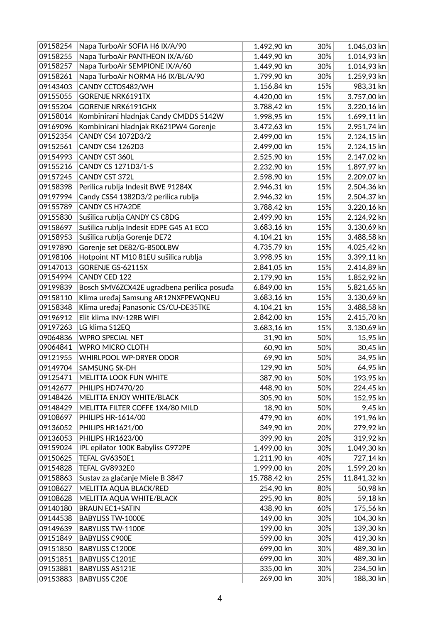| 09158254 | Napa TurboAir SOFIA H6 IX/A/90             | 1.492,90 kn  | 30% | 1.045,03 kn  |
|----------|--------------------------------------------|--------------|-----|--------------|
| 09158255 | Napa TurboAir PANTHEON IX/A/60             | 1.449,90 kn  | 30% | 1.014,93 kn  |
| 09158257 | Napa TurboAir SEMPIONE IX/A/60             | 1.449,90 kn  | 30% | 1.014,93 kn  |
| 09158261 | Napa TurboAir NORMA H6 IX/BL/A/90          | 1.799,90 kn  | 30% | 1.259,93 kn  |
| 09143403 | CANDY CCTOS482/WH                          | 1.156,84 kn  | 15% | 983,31 kn    |
| 09155055 | <b>GORENJE NRK6191TX</b>                   | 4.420,00 kn  | 15% | 3.757,00 kn  |
| 09155204 | <b>GORENJE NRK6191GHX</b>                  | 3.788,42 kn  | 15% | 3.220,16 kn  |
| 09158014 | Kombinirani hladnjak Candy CMDDS 5142W     | 1.998,95 kn  | 15% | 1.699,11 kn  |
| 09169096 | Kombinirani hladnjak RK621PW4 Gorenje      | 3.472,63 kn  | 15% | 2.951,74 kn  |
| 09152354 | CANDY CS4 1072D3/2                         | 2.499,00 kn  | 15% | 2.124,15 kn  |
| 09152561 | <b>CANDY CS4 1262D3</b>                    | 2.499,00 kn  | 15% | 2.124,15 kn  |
| 09154993 | CANDY CST 360L                             | 2.525,90 kn  | 15% | 2.147,02 kn  |
| 09155216 | CANDY CS 1271D3/1-S                        | 2.232,90 kn  | 15% | 1.897,97 kn  |
| 09157245 | CANDY CST 372L                             | 2.598,90 kn  | 15% | 2.209,07 kn  |
| 09158398 | Perilica rublja Indesit BWE 91284X         | 2.946,31 kn  | 15% | 2.504,36 kn  |
| 09197994 | Candy CSS4 1382D3/2 perilica rublja        | 2.946,32 kn  | 15% | 2.504,37 kn  |
| 09155789 | <b>CANDY CS H7A2DE</b>                     | 3.788,42 kn  | 15% | 3.220,16 kn  |
| 09155830 | Sušilica rublja CANDY CS C8DG              | 2.499,90 kn  | 15% | 2.124,92 kn  |
| 09158697 | Sušilica rublja Indesit EDPE G45 A1 ECO    | 3.683,16 kn  | 15% | 3.130,69 kn  |
| 09158953 | Sušilica rublja Gorenje DE72               | 4.104,21 kn  | 15% | 3.488,58 kn  |
| 09197890 | Gorenje set DE82/G-B500LBW                 | 4.735,79 kn  | 15% | 4.025,42 kn  |
| 09198106 | Hotpoint NT M10 81EU sušilica rublja       | 3.998,95 kn  | 15% | 3.399,11 kn  |
| 09147013 | GORENJE GS-62115X                          | 2.841,05 kn  | 15% | 2.414,89 kn  |
| 09154994 | CANDY CED 122                              | 2.179,90 kn  | 15% | 1.852,92 kn  |
| 09199839 | Bosch SMV6ZCX42E ugradbena perilica posuđa | 6.849,00 kn  | 15% | 5.821,65 kn  |
| 09158110 | Klima uređaj Samsung AR12NXFPEWQNEU        | 3.683,16 kn  | 15% | 3.130,69 kn  |
| 09158348 | Klima uređaj Panasonic CS/CU-DE35TKE       | 4.104,21 kn  | 15% | 3.488,58 kn  |
| 09196912 | Elit klima INV-12RB WIFI                   | 2.842,00 kn  | 15% | 2.415,70 kn  |
| 09197263 | LG klima S12EQ                             | 3.683,16 kn  | 15% | 3.130,69 kn  |
| 09064836 | <b>WPRO SPECIAL NET</b>                    | 31,90 kn     | 50% | 15,95 kn     |
| 09064841 | <b>WPRO MICRO CLOTH</b>                    | 60,90 kn     | 50% | 30,45 kn     |
| 09121955 | <b>WHIRLPOOL WP-DRYER ODOR</b>             | 69,90 kn     | 50% | 34,95 kn     |
| 09149704 | SAMSUNG SK-DH                              | 129,90 kn    | 50% | 64,95 kn     |
| 09125471 | <b>MELITTA LOOK FUN WHITE</b>              | 387,90 kn    | 50% | 193,95 kn    |
| 09142677 | PHILIPS HD7470/20                          | 448,90 kn    | 50% | 224,45 kn    |
| 09148426 | MELITTA ENJOY WHITE/BLACK                  | 305,90 kn    | 50% | 152,95 kn    |
| 09148429 | MELITTA FILTER COFFE 1X4/80 MILD           | 18,90 kn     | 50% | 9,45 kn      |
| 09108697 | PHILIPS HR-1614/00                         | 479,90 kn    | 60% | 191,96 kn    |
| 09136052 | PHILIPS HR1621/00                          | 349,90 kn    | 20% | 279,92 kn    |
| 09136053 | PHILIPS HR1623/00                          | 399,90 kn    | 20% | 319,92 kn    |
| 09159024 | IPL epilator 100K Babyliss G972PE          | 1.499,00 kn  | 30% | 1.049,30 kn  |
| 09150625 | TEFAL GV6350E1                             | 1.211,90 kn  | 40% | 727,14 kn    |
| 09154828 | TEFAL GV8932E0                             | 1.999,00 kn  | 20% | 1.599,20 kn  |
| 09158863 | Sustav za glačanje Miele B 3847            | 15.788,42 kn | 25% | 11.841,32 kn |
| 09108627 | MELITTA AQUA BLACK/RED                     | 254,90 kn    | 80% | 50,98 kn     |
| 09108628 | MELITTA AQUA WHITE/BLACK                   | 295,90 kn    | 80% | 59,18 kn     |
| 09140180 | <b>BRAUN EC1+SATIN</b>                     | 438,90 kn    | 60% | 175,56 kn    |
| 09144538 | <b>BABYLISS TW-1000E</b>                   | 149,00 kn    | 30% | 104,30 kn    |
| 09149639 | <b>BABYLISS TW-1100E</b>                   | 199,00 kn    | 30% | 139,30 kn    |
| 09151849 | <b>BABYLISS C900E</b>                      | 599,00 kn    | 30% | 419,30 kn    |
| 09151850 | BABYLISS C1200E                            | 699,00 kn    | 30% | 489,30 kn    |
| 09151851 | BABYLISS C1201E                            | 699,00 kn    | 30% | 489,30 kn    |
| 09153881 | <b>BABYLISS AS121E</b>                     | 335,00 kn    | 30% | 234,50 kn    |
| 09153883 | <b>BABYLISS C20E</b>                       | 269,00 kn    | 30% | 188,30 kn    |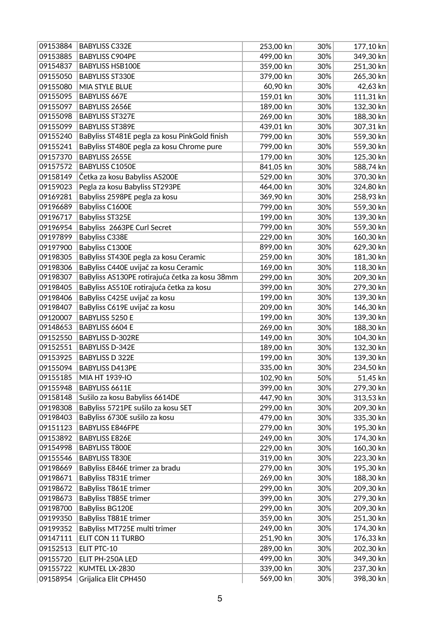| 09153884 | <b>BABYLISS C332E</b>                          | 253,00 kn | 30% | $177,10$ kn |
|----------|------------------------------------------------|-----------|-----|-------------|
| 09153885 | <b>BABYLISS C904PE</b>                         | 499,00 kn | 30% | 349,30 kn   |
| 09154837 | <b>BABYLISS HSB100E</b>                        | 359,00 kn | 30% | 251,30 kn   |
| 09155050 | <b>BABYLISS ST330E</b>                         | 379,00 kn | 30% | 265,30 kn   |
| 09155080 | MIA STYLE BLUE                                 | 60,90 kn  | 30% | 42,63 kn    |
| 09155095 | <b>BABYLISS 667E</b>                           | 159,01 kn | 30% | $111,31$ kn |
| 09155097 | BABYLISS 2656E                                 | 189,00 kn | 30% | 132,30 kn   |
| 09155098 | <b>BABYLISS ST327E</b>                         | 269,00 kn | 30% | 188,30 kn   |
| 09155099 | <b>BABYLISS ST389E</b>                         | 439,01 kn | 30% | 307,31 kn   |
| 09155240 | BaByliss ST481E pegla za kosu PinkGold finish  | 799,00 kn | 30% | 559,30 kn   |
| 09155241 | BaByliss ST480E pegla za kosu Chrome pure      | 799,00 kn | 30% | 559,30 kn   |
| 09157370 | BABYLISS 2655E                                 | 179,00 kn | 30% | 125,30 kn   |
| 09157572 | <b>BABYLISS C1050E</b>                         | 841,05 kn | 30% | 588,74 kn   |
| 09158149 | Četka za kosu Babyliss AS200E                  | 529,00 kn | 30% | 370,30 kn   |
| 09159023 | Pegla za kosu Babyliss ST293PE                 | 464,00 kn | 30% | 324,80 kn   |
| 09169281 | Babyliss 2598PE pegla za kosu                  | 369,90 kn | 30% | 258,93 kn   |
| 09196689 | Babyliss C1600E                                | 799,00 kn | 30% | 559,30 kn   |
| 09196717 | Babyliss ST325E                                | 199,00 kn | 30% | 139,30 kn   |
| 09196954 | Babyliss 2663PE Curl Secret                    | 799,00 kn | 30% | 559,30 kn   |
| 09197899 | Babyliss C338E                                 | 229,00 kn | 30% | 160,30 kn   |
| 09197900 | Babyliss C1300E                                | 899,00 kn | 30% | 629,30 kn   |
| 09198305 | BaByliss ST430E pegla za kosu Ceramic          | 259,00 kn | 30% | 181,30 kn   |
| 09198306 | BaByliss C440E uvijač za kosu Ceramic          | 169,00 kn | 30% | 118,30 kn   |
| 09198307 | BaByliss AS130PE rotirajuća četka za kosu 38mm | 299,00 kn | 30% | 209,30 kn   |
| 09198405 | BaByliss AS510E rotirajuća četka za kosu       | 399,00 kn | 30% | 279,30 kn   |
| 09198406 | BaByliss C425E uvijač za kosu                  | 199,00 kn | 30% | 139,30 kn   |
| 09198407 | BaByliss C619E uvijač za kosu                  | 209,00 kn | 30% | 146,30 kn   |
| 09120007 | BABYLISS 5250 E                                | 199,00 kn | 30% | 139,30 kn   |
| 09148653 | BABYLISS 6604 E                                | 269,00 kn | 30% | 188,30 kn   |
| 09152550 | <b>BABYLISS D-302RE</b>                        | 149,00 kn | 30% | 104,30 kn   |
| 09152551 | <b>BABYLISS D-342E</b>                         | 189,00 kn | 30% | 132,30 kn   |
| 09153925 | <b>BABYLISS D 322E</b>                         | 199,00 kn | 30% | 139,30 kn   |
| 09155094 | <b>BABYLISS D413PE</b>                         | 335,00 kn | 30% | 234,50 kn   |
| 09155185 | MIA HT 1939-IO                                 | 102,90 kn | 50% | $51,45$ kn  |
| 09155948 | BABYLISS 6611E                                 | 399,00 kn | 30% | 279,30 kn   |
| 09158148 | Sušilo za kosu Babyliss 6614DE                 | 447,90 kn | 30% | $313,53$ kn |
| 09198308 | BaByliss 5721PE sušilo za kosu SET             | 299,00 kn | 30% | 209,30 kn   |
| 09198403 | BaByliss 6730E sušilo za kosu                  | 479,00 kn | 30% | 335,30 kn   |
| 09151123 | <b>BABYLISS E846FPE</b>                        | 279,00 kn | 30% | 195,30 kn   |
| 09153892 | <b>BABYLISS E826E</b>                          | 249,00 kn | 30% | 174,30 kn   |
| 09154998 | <b>BABYLISS T800E</b>                          | 229,00 kn | 30% | 160,30 kn   |
| 09155546 | <b>BABYLISS T830E</b>                          | 319,00 kn | 30% | 223,30 kn   |
| 09198669 | BaByliss E846E trimer za bradu                 | 279,00 kn | 30% | 195,30 kn   |
| 09198671 | BaByliss T831E trimer                          | 269,00 kn | 30% | 188,30 kn   |
| 09198672 | BaByliss T861E trimer                          | 299,00 kn | 30% | 209,30 kn   |
| 09198673 | BaByliss T885E trimer                          | 399,00 kn | 30% | 279,30 kn   |
| 09198700 | BaByliss BG120E                                | 299,00 kn | 30% | 209,30 kn   |
| 09199350 | BaByliss T881E trimer                          | 359,00 kn | 30% | 251,30 kn   |
| 09199352 | BaByliss MT725E multi trimer                   | 249,00 kn | 30% | 174,30 kn   |
| 09147111 | ELIT CON 11 TURBO                              | 251,90 kn | 30% | 176,33 kn   |
| 09152513 | ELIT PTC-10                                    | 289,00 kn | 30% | 202,30 kn   |
| 09155720 | ELIT PH-250A LED                               | 499,00 kn | 30% | 349,30 kn   |
| 09155722 | KUMTEL LX-2830                                 | 339,00 kn | 30% | 237,30 kn   |
| 09158954 | Grijalica Elit CPH450                          | 569,00 kn | 30% | 398,30 kn   |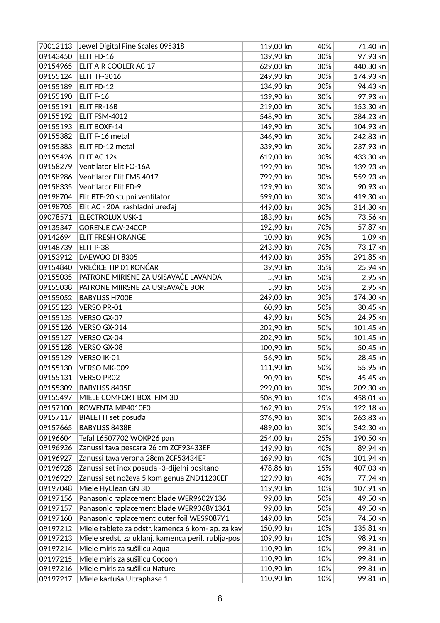| 70012113 | Jewel Digital Fine Scales 095318                   | 119,00 kn | 40% | 71,40 kn  |
|----------|----------------------------------------------------|-----------|-----|-----------|
| 09143450 | ELIT FD-16                                         | 139,90 kn | 30% | 97,93 kn  |
| 09154965 | ELIT AIR COOLER AC 17                              | 629,00 kn | 30% | 440,30 kn |
| 09155124 | <b>ELIT TF-3016</b>                                | 249,90 kn | 30% | 174,93 kn |
| 09155189 | ELIT FD-12                                         | 134,90 kn | 30% | 94,43 kn  |
| 09155190 | ELIT F-16                                          | 139,90 kn | 30% | 97,93 kn  |
| 09155191 | ELIT FR-16B                                        | 219,00 kn | 30% | 153,30 kn |
| 09155192 | ELIT FSM-4012                                      | 548,90 kn | 30% | 384,23 kn |
| 09155193 | ELIT BOXF-14                                       | 149,90 kn | 30% | 104,93 kn |
| 09155382 | ELIT F-16 metal                                    | 346,90 kn | 30% | 242,83 kn |
| 09155383 | ELIT FD-12 metal                                   | 339,90 kn | 30% | 237,93 kn |
| 09155426 | ELIT AC 12s                                        | 619,00 kn | 30% | 433,30 kn |
| 09158279 | Ventilator Elit FO-16A                             | 199,90 kn | 30% | 139,93 kn |
| 09158286 | Ventilator Elit FMS 4017                           | 799,90 kn | 30% | 559,93 kn |
| 09158335 | Ventilator Elit FD-9                               | 129,90 kn | 30% | 90,93 kn  |
| 09198704 | Elit BTF-20 stupni ventilator                      | 599,00 kn | 30% | 419,30 kn |
| 09198705 | Elit AC - 20A rashladni uređaj                     | 449,00 kn | 30% | 314,30 kn |
| 09078571 | <b>ELECTROLUX USK-1</b>                            | 183,90 kn | 60% | 73,56 kn  |
| 09135347 | <b>GORENJE CW-24CCP</b>                            | 192,90 kn | 70% | 57,87 kn  |
| 09142694 | <b>ELIT FRESH ORANGE</b>                           | 10,90 kn  | 90% | $1,09$ kn |
| 09148739 | ELIT P-38                                          | 243,90 kn | 70% | 73,17 kn  |
| 09153912 | DAEWOO DI 8305                                     | 449,00 kn | 35% | 291,85 kn |
| 09154840 | VREĆICE TIP 01 KONČAR                              | 39,90 kn  | 35% | 25,94 kn  |
| 09155035 | PATRONE MIRISNE ZA USISAVAČE LAVANDA               | 5,90 kn   | 50% | 2,95 kn   |
| 09155038 | PATRONE MIIRSNE ZA USISAVAČE BOR                   | 5,90 kn   | 50% | 2,95 kn   |
| 09155052 | <b>BABYLISS H700E</b>                              | 249,00 kn | 30% | 174,30 kn |
| 09155123 | VERSO PR-01                                        | 60,90 kn  | 50% | 30,45 kn  |
| 09155125 | VERSO GX-07                                        | 49,90 kn  | 50% | 24,95 kn  |
| 09155126 | VERSO GX-014                                       | 202,90 kn | 50% | 101,45 kn |
| 09155127 | VERSO GX-04                                        | 202,90 kn | 50% | 101,45 kn |
| 09155128 | VERSO GX-08                                        | 100,90 kn | 50% | 50,45 kn  |
| 09155129 | VERSO IK-01                                        | 56,90 kn  | 50% | 28,45 kn  |
| 09155130 | VERSO MK-009                                       | 111,90 kn | 50% | 55,95 kn  |
| 09155131 | <b>VERSO PR02</b>                                  | 90,90 kn  | 50% | 45,45 kn  |
| 09155309 | BABYLISS 8435E                                     | 299,00 kn | 30% | 209,30 kn |
| 09155497 | MIELE COMFORT BOX FJM 3D                           | 508,90 kn | 10% | 458,01 kn |
| 09157100 | ROWENTA MP4010F0                                   | 162,90 kn | 25% | 122,18 kn |
| 09157117 | BIALETTI set posuđa                                | 376,90 kn | 30% | 263,83 kn |
| 09157665 | <b>BABYLISS 8438E</b>                              | 489,00 kn | 30% | 342,30 kn |
| 09196604 | Tefal L6507702 WOKP26 pan                          | 254,00 kn | 25% | 190,50 kn |
| 09196926 | Zanussi tava pescara 26 cm ZCF93433EF              | 149,90 kn | 40% | 89,94 kn  |
| 09196927 | Zanussi tava verona 28cm ZCF53434EF                | 169,90 kn | 40% | 101,94 kn |
| 09196928 | Zanussi set inox posuda -3-dijelni positano        | 478,86 kn | 15% | 407,03 kn |
| 09196929 | Zanussi set noževa 5 kom genua ZND11230EF          | 129,90 kn | 40% | 77,94 kn  |
| 09197048 | Miele HyClean GN 3D                                | 119,90 kn | 10% | 107,91 kn |
| 09197156 | Panasonic raplacement blade WER9602Y136            | 99,00 kn  | 50% | 49,50 kn  |
| 09197157 | Panasonic raplacement blade WER9068Y1361           | 99,00 kn  | 50% | 49,50 kn  |
| 09197160 | Panasonic raplacement outer foil WES9087Y1         | 149,00 kn | 50% | 74,50 kn  |
| 09197212 | Miele tablete za odstr. kamenca 6 kom- ap. za kav  | 150,90 kn | 10% | 135,81 kn |
| 09197213 | Miele sredst. za uklanj. kamenca peril. rublja-pos | 109,90 kn | 10% | 98,91 kn  |
| 09197214 | Miele miris za sušilicu Aqua                       | 110,90 kn | 10% | 99,81 kn  |
| 09197215 | Miele miris za sušilicu Cocoon                     | 110,90 kn | 10% | 99,81 kn  |
| 09197216 | Miele miris za sušilicu Nature                     | 110,90 kn | 10% | 99,81 kn  |
| 09197217 | Miele kartuša Ultraphase 1                         | 110,90 kn | 10% | 99,81 kn  |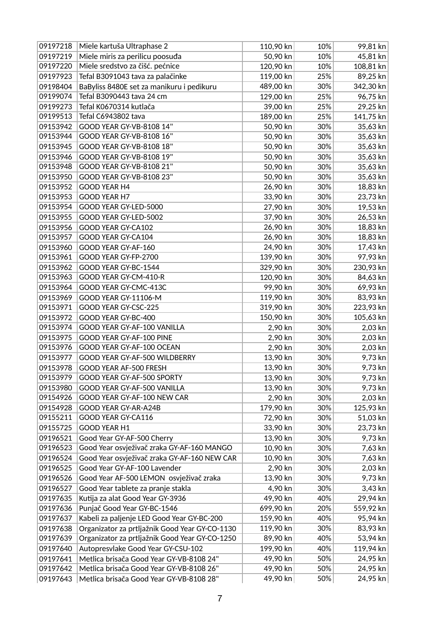| 09197218 | Miele kartuša Ultraphase 2                     | 110,90 kn | 10% | 99,81 kn  |
|----------|------------------------------------------------|-----------|-----|-----------|
| 09197219 | Miele miris za perilicu poosuđa                | 50,90 kn  | 10% | 45,81 kn  |
| 09197220 | Miele sredstvo za čišć. pećnice                | 120,90 kn | 10% | 108,81 kn |
| 09197923 | Tefal B3091043 tava za palačinke               | 119,00 kn | 25% | 89,25 kn  |
| 09198404 | BaByliss 8480E set za manikuru i pedikuru      | 489,00 kn | 30% | 342,30 kn |
| 09199074 | Tefal B3090443 tava 24 cm                      | 129,00 kn | 25% | 96,75 kn  |
| 09199273 | Tefal K0670314 kutlača                         | 39,00 kn  | 25% | 29,25 kn  |
| 09199513 | Tefal C6943802 tava                            | 189,00 kn | 25% | 141,75 kn |
| 09153942 | GOOD YEAR GY-VB-8108 14"                       | 50,90 kn  | 30% | 35,63 kn  |
| 09153944 | GOOD YEAR GY-VB-8108 16"                       | 50,90 kn  | 30% | 35,63 kn  |
| 09153945 | GOOD YEAR GY-VB-8108 18"                       | 50,90 kn  | 30% | 35,63 kn  |
| 09153946 | GOOD YEAR GY-VB-8108 19"                       | 50,90 kn  | 30% | 35,63 kn  |
| 09153948 | GOOD YEAR GY-VB-8108 21"                       | 50,90 kn  | 30% | 35,63 kn  |
| 09153950 | GOOD YEAR GY-VB-8108 23"                       | 50,90 kn  | 30% | 35,63 kn  |
| 09153952 | <b>GOOD YEAR H4</b>                            | 26,90 kn  | 30% | 18,83 kn  |
| 09153953 | GOOD YEAR H7                                   | 33,90 kn  | 30% | 23,73 kn  |
| 09153954 | GOOD YEAR GY-LED-5000                          | 27,90 kn  | 30% | 19,53 kn  |
| 09153955 | GOOD YEAR GY-LED-5002                          | 37,90 kn  | 30% | 26,53 kn  |
| 09153956 | GOOD YEAR GY-CA102                             | 26,90 kn  | 30% | 18,83 kn  |
| 09153957 | GOOD YEAR GY-CA104                             | 26,90 kn  | 30% | 18,83 kn  |
| 09153960 | GOOD YEAR GY-AF-160                            | 24,90 kn  | 30% | 17,43 kn  |
| 09153961 | GOOD YEAR GY-FP-2700                           | 139,90 kn | 30% | 97,93 kn  |
| 09153962 | GOOD YEAR GY-BC-1544                           | 329,90 kn | 30% | 230,93 kn |
| 09153963 | GOOD YEAR GY-CM-410-R                          | 120,90 kn | 30% | 84,63 kn  |
| 09153964 | GOOD YEAR GY-CMC-413C                          | 99,90 kn  | 30% | 69,93 kn  |
| 09153969 | GOOD YEAR GY-11106-M                           | 119,90 kn | 30% | 83,93 kn  |
| 09153971 | GOOD YEAR GY-CSC-225                           | 319,90 kn | 30% | 223,93 kn |
| 09153972 | GOOD YEAR GY-BC-400                            | 150,90 kn | 30% | 105,63 kn |
| 09153974 | GOOD YEAR GY-AF-100 VANILLA                    | 2,90 kn   | 30% | 2,03 kn   |
| 09153975 | GOOD YEAR GY-AF-100 PINE                       | 2,90 kn   | 30% | 2,03 kn   |
| 09153976 | GOOD YEAR GY-AF-100 OCEAN                      | 2,90 kn   | 30% | 2,03 kn   |
| 09153977 | GOOD YEAR GY-AF-500 WILDBERRY                  | 13,90 kn  | 30% | 9,73 kn   |
| 09153978 | GOOD YEAR AF-500 FRESH                         | 13,90 kn  | 30% | 9,73 kn   |
| 09153979 | GOOD YEAR GY-AF-500 SPORTY                     | 13,90 kn  | 30% | 9,73 kn   |
| 09153980 | GOOD YEAR GY-AF-500 VANILLA                    | 13,90 kn  | 30% | 9,73 kn   |
| 09154926 | GOOD YEAR GY-AF-100 NEW CAR                    | 2,90 kn   | 30% | 2,03 kn   |
| 09154928 | GOOD YEAR GY-AR-A24B                           | 179,90 kn | 30% | 125,93 kn |
| 09155211 | GOOD YEAR GY-CA116                             | 72,90 kn  | 30% | 51,03 kn  |
| 09155725 | GOOD YEAR H1                                   | 33,90 kn  | 30% | 23,73 kn  |
| 09196521 | Good Year GY-AF-500 Cherry                     | 13,90 kn  | 30% | 9,73 kn   |
| 09196523 | Good Year osvježivač zraka GY-AF-160 MANGO     | 10,90 kn  | 30% | 7,63 kn   |
| 09196524 | Good Year osvježivač zraka GY-AF-160 NEW CAR   | 10,90 kn  | 30% | 7,63 kn   |
| 09196525 | Good Year GY-AF-100 Lavender                   | 2,90 kn   | 30% | 2,03 kn   |
| 09196526 | Good Year AF-500 LEMON osvježivač zraka        | 13,90 kn  | 30% | 9,73 kn   |
| 09196527 | Good Year tablete za pranje stakla             | 4,90 kn   | 30% | 3,43 kn   |
| 09197635 | Kutija za alat Good Year GY-3936               | 49,90 kn  | 40% | 29,94 kn  |
| 09197636 | Punjač Good Year GY-BC-1546                    | 699,90 kn | 20% | 559,92 kn |
| 09197637 | Kabeli za paljenje LED Good Year GY-BC-200     | 159,90 kn | 40% | 95,94 kn  |
| 09197638 | Organizator za prtljažnik Good Year GY-CO-1130 | 119,90 kn | 30% | 83,93 kn  |
| 09197639 | Organizator za prtljažnik Good Year GY-CO-1250 | 89,90 kn  | 40% | 53,94 kn  |
| 09197640 | Autopresvlake Good Year GY-CSU-102             | 199,90 kn | 40% | 119,94 kn |
| 09197641 | Metlica brisača Good Year GY-VB-8108 24"       | 49,90 kn  | 50% | 24,95 kn  |
| 09197642 | Metlica brisača Good Year GY-VB-8108 26"       | 49,90 kn  | 50% | 24,95 kn  |
| 09197643 | Metlica brisača Good Year GY-VB-8108 28"       | 49,90 kn  | 50% | 24,95 kn  |